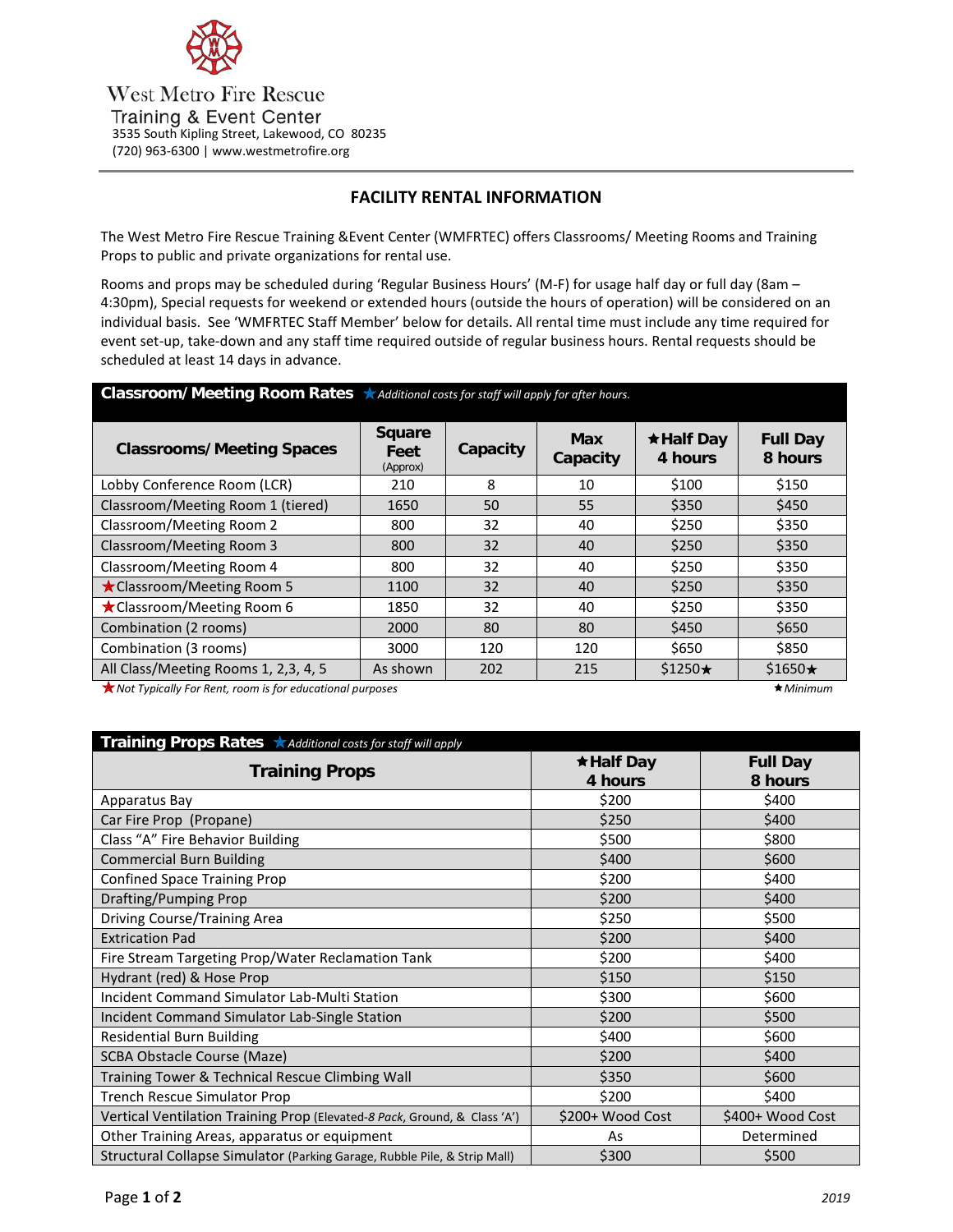

**West Metro Fire Rescue** Training & Event Center 3535 South Kipling Street, Lakewood, CO 80235 (720) 963-6300 | www.westmetrofire.org

# **FACILITY RENTAL INFORMATION**

The West Metro Fire Rescue Training &Event Center (WMFRTEC) offers Classrooms/ Meeting Rooms and Training Props to public and private organizations for rental use.

Rooms and props may be scheduled during 'Regular Business Hours' (M-F) for usage half day or full day (8am – 4:30pm), Special requests for weekend or extended hours (outside the hours of operation) will be considered on an individual basis. See 'WMFRTEC Staff Member' below for details. All rental time must include any time required for event set-up, take-down and any staff time required outside of regular business hours. Rental requests should be scheduled at least 14 days in advance.

| Classroom/Meeting Room Rates *Additional costs for staff will apply for after hours. |                                   |          |                        |                             |                            |  |  |
|--------------------------------------------------------------------------------------|-----------------------------------|----------|------------------------|-----------------------------|----------------------------|--|--|
| <b>Classrooms/Meeting Spaces</b>                                                     | <b>Square</b><br>Feet<br>(Approx) | Capacity | <b>Max</b><br>Capacity | $\star$ Half Day<br>4 hours | <b>Full Day</b><br>8 hours |  |  |
| Lobby Conference Room (LCR)                                                          | 210                               | 8        | 10                     | \$100                       | \$150                      |  |  |
| Classroom/Meeting Room 1 (tiered)                                                    | 1650                              | 50       | 55                     | \$350                       | \$450                      |  |  |
| Classroom/Meeting Room 2                                                             | 800                               | 32       | 40                     | \$250                       | \$350                      |  |  |
| Classroom/Meeting Room 3                                                             | 800                               | 32       | 40                     | \$250                       | \$350                      |  |  |
| Classroom/Meeting Room 4                                                             | 800                               | 32       | 40                     | \$250                       | \$350                      |  |  |
| ★ Classroom/Meeting Room 5                                                           | 1100                              | 32       | 40                     | \$250                       | \$350                      |  |  |
| ★ Classroom/Meeting Room 6                                                           | 1850                              | 32       | 40                     | \$250                       | \$350                      |  |  |
| Combination (2 rooms)                                                                | 2000                              | 80       | 80                     | \$450                       | \$650                      |  |  |
| Combination (3 rooms)                                                                | 3000                              | 120      | 120                    | \$650                       | \$850                      |  |  |
| All Class/Meeting Rooms 1, 2,3, 4, 5                                                 | As shown                          | 202      | 215                    | $$1250\star$                | $$1650\star$               |  |  |

**★ Not Typically For Rent, room is for educational purposes Minimum Minimum Alta and Alta and Alta and Alta and Alta and Alta and Alta and Alta and Alta and Alta and Alta and Alta and Alta and Alta and Alta and Alta** 

| Training Props Rates <b>Additional costs for staff will apply</b>         |                             |                            |  |  |  |
|---------------------------------------------------------------------------|-----------------------------|----------------------------|--|--|--|
| <b>Training Props</b>                                                     | $\star$ Half Day<br>4 hours | <b>Full Day</b><br>8 hours |  |  |  |
| Apparatus Bay                                                             | \$200                       | \$400                      |  |  |  |
| Car Fire Prop (Propane)                                                   | \$250                       | \$400                      |  |  |  |
| Class "A" Fire Behavior Building                                          | \$500                       | \$800                      |  |  |  |
| <b>Commercial Burn Building</b>                                           | \$400                       | \$600                      |  |  |  |
| <b>Confined Space Training Prop</b>                                       | \$200                       | \$400                      |  |  |  |
| Drafting/Pumping Prop                                                     | \$200                       | \$400                      |  |  |  |
| Driving Course/Training Area                                              | \$250                       | \$500                      |  |  |  |
| <b>Extrication Pad</b>                                                    | \$200                       | \$400                      |  |  |  |
| Fire Stream Targeting Prop/Water Reclamation Tank                         | \$200                       | \$400                      |  |  |  |
| Hydrant (red) & Hose Prop                                                 | \$150                       | \$150                      |  |  |  |
| Incident Command Simulator Lab-Multi Station                              | \$300                       | \$600                      |  |  |  |
| Incident Command Simulator Lab-Single Station                             | \$200                       | \$500                      |  |  |  |
| <b>Residential Burn Building</b>                                          | \$400                       | \$600                      |  |  |  |
| SCBA Obstacle Course (Maze)                                               | \$200                       | \$400                      |  |  |  |
| Training Tower & Technical Rescue Climbing Wall                           | \$350                       | \$600                      |  |  |  |
| <b>Trench Rescue Simulator Prop</b>                                       | \$200                       | \$400                      |  |  |  |
| Vertical Ventilation Training Prop (Elevated-8 Pack, Ground, & Class 'A') | \$200+ Wood Cost            | \$400+ Wood Cost           |  |  |  |
| Other Training Areas, apparatus or equipment                              | As                          | Determined                 |  |  |  |
| Structural Collapse Simulator (Parking Garage, Rubble Pile, & Strip Mall) | \$300                       | \$500                      |  |  |  |